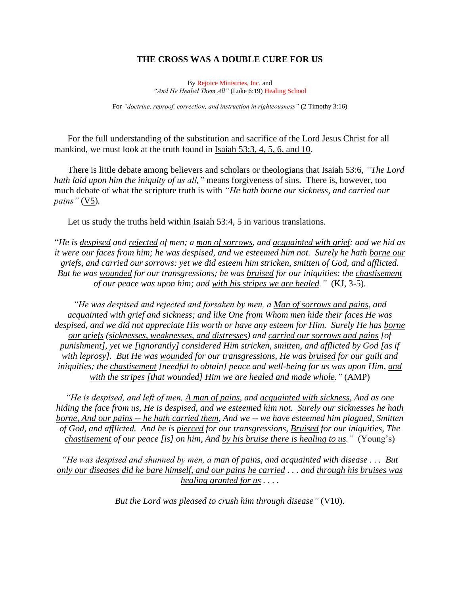## **THE CROSS WAS A DOUBLE CURE FOR US**

By Rejoice Ministries, Inc. and *"And He Healed Them All"* (Luke 6:19) Healing School

For *"doctrine, reproof, correction, and instruction in righteousness"* (2 Timothy 3:16)

For the full understanding of the substitution and sacrifice of the Lord Jesus Christ for all mankind, we must look at the truth found in Isaiah 53:3, 4, 5, 6, and 10.

There is little debate among believers and scholars or theologians that Isaiah 53:6, *"The Lord hath laid upon him the iniquity of us all,"* means forgiveness of sins. There is, however, too much debate of what the scripture truth is with *"He hath borne our sickness, and carried our pains"* (V5)*.*

Let us study the truths held within Isaiah 53:4, 5 in various translations.

"*He is despised and rejected of men; a man of sorrows, and acquainted with grief: and we hid as it were our faces from him; he was despised, and we esteemed him not. Surely he hath borne our griefs, and carried our sorrows: yet we did esteem him stricken, smitten of God, and afflicted. But he was wounded for our transgressions; he was bruised for our iniquities: the chastisement of our peace was upon him; and with his stripes we are healed."* (KJ, 3-5).

*"He was despised and rejected and forsaken by men, a Man of sorrows and pains, and acquainted with grief and sickness; and like One from Whom men hide their faces He was despised, and we did not appreciate His worth or have any esteem for Him. Surely He has borne our griefs (sicknesses, weaknesses, and distresses) and carried our sorrows and pains [of punishment], yet we [ignorantly] considered Him stricken, smitten, and afflicted by God [as if with leprosy]. But He was wounded for our transgressions, He was bruised for our guilt and iniquities; the chastisement [needful to obtain] peace and well-being for us was upon Him, and with the stripes [that wounded] Him we are healed and made whole."* (AMP)

*"He is despised, and left of men, A man of pains, and acquainted with sickness, And as one hiding the face from us, He is despised, and we esteemed him not. Surely our sicknesses he hath borne, And our pains -- he hath carried them, And we -- we have esteemed him plagued, Smitten of God, and afflicted. And he is pierced for our transgressions, Bruised for our iniquities, The chastisement of our peace [is] on him, And by his bruise there is healing to us."* (Young's)

*"He was despised and shunned by men, a man of pains, and acquainted with disease . . . But only our diseases did he bare himself, and our pains he carried . . . and through his bruises was healing granted for us . . . .*

*But the Lord was pleased to crush him through disease"* (V10).